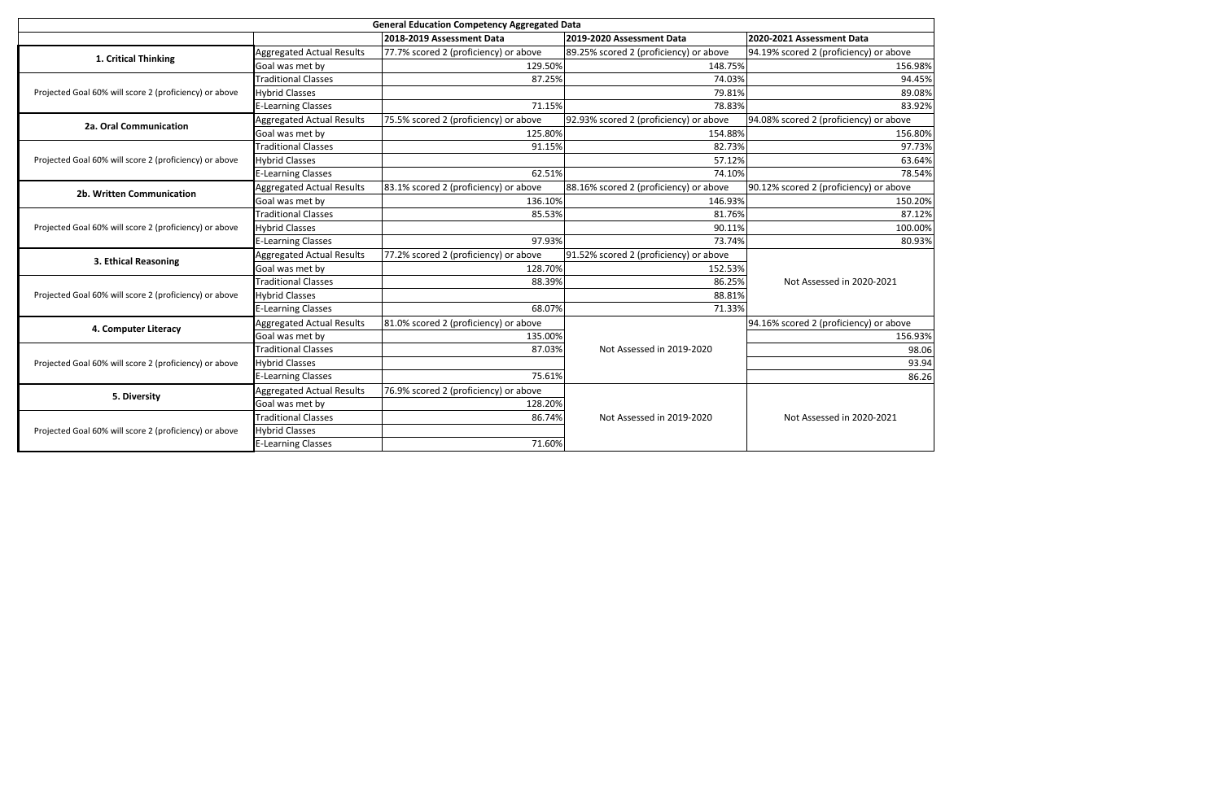| <b>General Education Competency Aggregated Data</b>    |                                  |                                       |                                        |                                        |  |
|--------------------------------------------------------|----------------------------------|---------------------------------------|----------------------------------------|----------------------------------------|--|
|                                                        |                                  | 2018-2019 Assessment Data             | 2019-2020 Assessment Data              | 2020-2021 Assessment Data              |  |
| 1. Critical Thinking                                   | <b>Aggregated Actual Results</b> | 77.7% scored 2 (proficiency) or above | 89.25% scored 2 (proficiency) or above | 94.19% scored 2 (proficiency) or above |  |
|                                                        | Goal was met by                  | 129.50%                               | 148.75%                                | 156.98%                                |  |
|                                                        | <b>Traditional Classes</b>       | 87.25%                                | 74.03%                                 | 94.45%                                 |  |
| Projected Goal 60% will score 2 (proficiency) or above | <b>Hybrid Classes</b>            |                                       | 79.81%                                 | 89.08%                                 |  |
|                                                        | <b>E-Learning Classes</b>        | 71.15%                                | 78.83%                                 | 83.92%                                 |  |
| 2a. Oral Communication                                 | Aggregated Actual Results        | 75.5% scored 2 (proficiency) or above | 92.93% scored 2 (proficiency) or above | 94.08% scored 2 (proficiency) or above |  |
|                                                        | Goal was met by                  | 125.80%                               | 154.88%                                | 156.80%                                |  |
|                                                        | <b>Traditional Classes</b>       | 91.15%                                | 82.73%                                 | 97.73%                                 |  |
| Projected Goal 60% will score 2 (proficiency) or above | <b>Hybrid Classes</b>            |                                       | 57.12%                                 | 63.64%                                 |  |
|                                                        | <b>E-Learning Classes</b>        | 62.51%                                | 74.10%                                 | 78.54%                                 |  |
| 2b. Written Communication                              | <b>Aggregated Actual Results</b> | 83.1% scored 2 (proficiency) or above | 88.16% scored 2 (proficiency) or above | 90.12% scored 2 (proficiency) or above |  |
|                                                        | Goal was met by                  | 136.10%                               | 146.93%                                | 150.20%                                |  |
| Projected Goal 60% will score 2 (proficiency) or above | <b>Traditional Classes</b>       | 85.53%                                | 81.76%                                 | 87.12%                                 |  |
|                                                        | <b>Hybrid Classes</b>            |                                       | 90.11%                                 | 100.00%                                |  |
|                                                        | <b>E-Learning Classes</b>        | 97.93%                                | 73.74%                                 | 80.93%                                 |  |
| 3. Ethical Reasoning                                   | Aggregated Actual Results        | 77.2% scored 2 (proficiency) or above | 91.52% scored 2 (proficiency) or above |                                        |  |
|                                                        | Goal was met by                  | 128.70%                               | 152.53%                                |                                        |  |
|                                                        | <b>Traditional Classes</b>       | 88.39%                                | 86.25%                                 | Not Assessed in 2020-2021              |  |
| Projected Goal 60% will score 2 (proficiency) or above | <b>Hybrid Classes</b>            |                                       | 88.81%                                 |                                        |  |
|                                                        | <b>E-Learning Classes</b>        | 68.07%                                | 71.33%                                 |                                        |  |
| 4. Computer Literacy                                   | <b>Aggregated Actual Results</b> | 81.0% scored 2 (proficiency) or above |                                        | 94.16% scored 2 (proficiency) or above |  |
|                                                        | Goal was met by                  | 135.00%                               |                                        | 156.93%                                |  |
| Projected Goal 60% will score 2 (proficiency) or above | <b>Traditional Classes</b>       | 87.03%                                | Not Assessed in 2019-2020              | 98.06                                  |  |
|                                                        | <b>Hybrid Classes</b>            |                                       |                                        | 93.94                                  |  |
|                                                        | <b>E-Learning Classes</b>        | 75.61%                                |                                        | 86.26                                  |  |
| 5. Diversity                                           | <b>Aggregated Actual Results</b> | 76.9% scored 2 (proficiency) or above |                                        |                                        |  |
|                                                        | Goal was met by                  | 128.20%                               |                                        |                                        |  |
|                                                        | <b>Traditional Classes</b>       | 86.74%                                | Not Assessed in 2019-2020              | Not Assessed in 2020-2021              |  |
| Projected Goal 60% will score 2 (proficiency) or above | <b>Hybrid Classes</b>            |                                       |                                        |                                        |  |
|                                                        | <b>E-Learning Classes</b>        | 71.60%                                |                                        |                                        |  |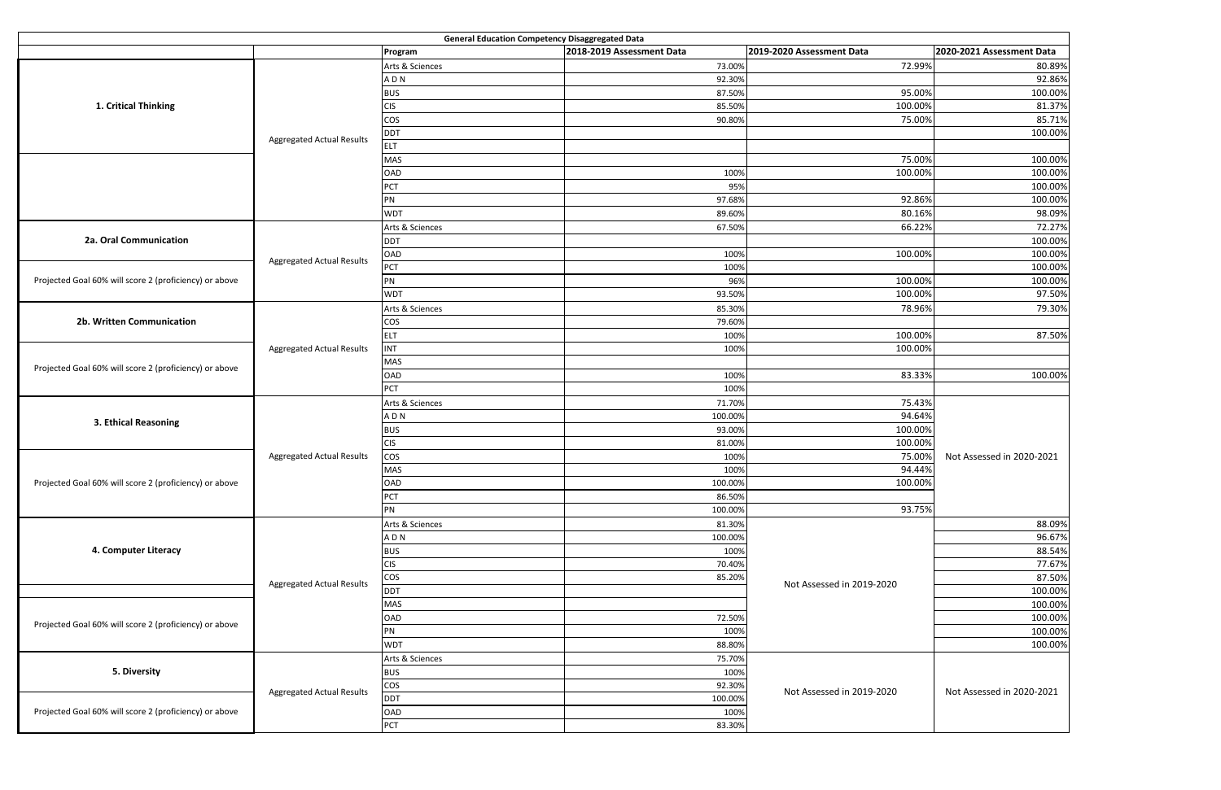| <b>General Education Competency Disaggregated Data</b> |                                  |                 |                           |                           |                           |  |
|--------------------------------------------------------|----------------------------------|-----------------|---------------------------|---------------------------|---------------------------|--|
|                                                        |                                  | Program         | 2018-2019 Assessment Data | 2019-2020 Assessment Data | 2020-2021 Assessment Data |  |
|                                                        |                                  | Arts & Sciences | 73.00%                    | 72.99%                    | 80.89%                    |  |
|                                                        |                                  | ADN             | 92.30%                    |                           | 92.86%                    |  |
|                                                        |                                  | <b>BUS</b>      | 87.50%                    | 95.00%                    | 100.00%                   |  |
| 1. Critical Thinking                                   | <b>Aggregated Actual Results</b> | <b>CIS</b>      | 85.50%                    | 100.00%                   | 81.37%                    |  |
|                                                        |                                  | <b>COS</b>      | 90.80%                    | 75.00%                    | 85.71%                    |  |
|                                                        |                                  | <b>DDT</b>      |                           |                           | 100.00%                   |  |
|                                                        |                                  | <b>ELT</b>      |                           |                           |                           |  |
|                                                        |                                  | <b>MAS</b>      |                           | 75.00%                    | 100.00%                   |  |
|                                                        |                                  | OAD             | 100%                      | 100.00%                   | 100.00%                   |  |
|                                                        |                                  | PCT             | 95%                       |                           | 100.00%                   |  |
|                                                        |                                  | PN              | 97.68%                    | 92.86%                    | 100.00%                   |  |
|                                                        |                                  | <b>WDT</b>      | 89.60%                    | 80.16%                    | 98.09%                    |  |
|                                                        |                                  | Arts & Sciences | 67.50%                    | 66.22%                    | 72.27%                    |  |
| 2a. Oral Communication                                 |                                  | <b>DDT</b>      |                           |                           | 100.00%                   |  |
|                                                        |                                  | OAD             | 100%                      | 100.00%                   | 100.00%                   |  |
|                                                        | <b>Aggregated Actual Results</b> | PCT             | 100%                      |                           | 100.00%                   |  |
| Projected Goal 60% will score 2 (proficiency) or above |                                  | PN              | 96%                       | 100.00%                   | 100.00%                   |  |
|                                                        |                                  | <b>WDT</b>      | 93.50%                    | 100.00%                   | 97.50%                    |  |
|                                                        |                                  | Arts & Sciences | 85.30%                    | 78.96%                    | 79.30%                    |  |
| 2b. Written Communication                              |                                  | cos             | 79.60%                    |                           |                           |  |
|                                                        |                                  | ELT             | 100%                      | 100.00%                   | 87.50%                    |  |
|                                                        | <b>Aggregated Actual Results</b> | <b>INT</b>      | 100%                      | 100.00%                   |                           |  |
|                                                        |                                  | <b>MAS</b>      |                           |                           |                           |  |
| Projected Goal 60% will score 2 (proficiency) or above |                                  | OAD             | 100%                      | 83.33%                    | 100.00%                   |  |
|                                                        |                                  | PCT             | 100%                      |                           |                           |  |
|                                                        |                                  | Arts & Sciences | 71.70%                    | 75.43%                    |                           |  |
|                                                        |                                  | ADN             | 100.00%                   | 94.64%                    |                           |  |
| 3. Ethical Reasoning                                   |                                  |                 | 93.00%                    | 100.00%                   |                           |  |
|                                                        |                                  | <b>BUS</b>      |                           | 100.00%                   |                           |  |
|                                                        | <b>Aggregated Actual Results</b> | <b>CIS</b>      | 81.00%<br>100%            | 75.00%                    |                           |  |
|                                                        |                                  | cos             |                           | 94.44%                    | Not Assessed in 2020-2021 |  |
|                                                        |                                  | <b>MAS</b>      | 100%                      |                           |                           |  |
| Projected Goal 60% will score 2 (proficiency) or above |                                  | OAD             | 100.00%                   | 100.00%                   |                           |  |
|                                                        |                                  | PCT             | 86.50%                    |                           |                           |  |
|                                                        |                                  | PN              | 100.00%                   | 93.75%                    |                           |  |
|                                                        | <b>Aggregated Actual Results</b> | Arts & Sciences | 81.30%                    |                           | 88.09%                    |  |
| 4. Computer Literacy                                   |                                  | ADN             | 100.00%                   |                           | 96.67%                    |  |
|                                                        |                                  | <b>BUS</b>      | 100%                      |                           | 88.54%                    |  |
|                                                        |                                  | <b>CIS</b>      | 70.40%                    |                           | 77.67%                    |  |
|                                                        |                                  | cos             | 85.20%                    | Not Assessed in 2019-2020 | 87.50%                    |  |
|                                                        |                                  | <b>DDT</b>      |                           |                           | 100.00%                   |  |
| Projected Goal 60% will score 2 (proficiency) or above |                                  | <b>MAS</b>      |                           |                           | 100.00%                   |  |
|                                                        |                                  | OAD             | 72.50%                    |                           | 100.00%                   |  |
|                                                        |                                  | PN              | 100%                      |                           | 100.00%                   |  |
|                                                        |                                  | <b>WDT</b>      | 88.80%                    |                           | 100.00%                   |  |
|                                                        |                                  | Arts & Sciences | 75.70%                    |                           |                           |  |
| 5. Diversity                                           |                                  | <b>BUS</b>      | 100%                      |                           |                           |  |
|                                                        | <b>Aggregated Actual Results</b> | cos             | 92.30%                    | Not Assessed in 2019-2020 | Not Assessed in 2020-2021 |  |
|                                                        |                                  | <b>DDT</b>      | 100.00%                   |                           |                           |  |
| Projected Goal 60% will score 2 (proficiency) or above |                                  | OAD             | 100%                      |                           |                           |  |
|                                                        |                                  | PCT             | 83.30%                    |                           |                           |  |